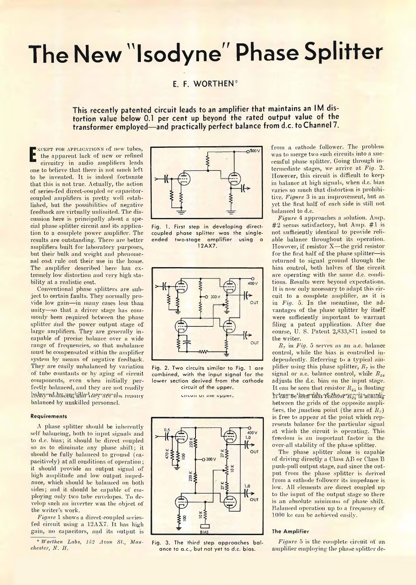# **The New "Isodyne" Phase Splitter**

## **E. F. WORTHEN<sup>®</sup>**

**This recently patented circuit leads to an amplifier that maintains an IM distortion value below 0.1 per cent up beyond the rated output value of the transformer employed— and practically perfect balance from d.c. to Channel 7.**

**E** the apparent fack of new or refined xcept for applications of now tubes, the apparent lack of new or refined one to believe that there is not much left to be invented. It is indeed fortunate that this is not true. Actually, the action of series-fed direct-coupled or capacitorcoupled amplifiers is pretty well established, but the possibilities of negative feedback are virtually unlimited. The discussion here is principally about a special phase splitter circuit and its application to a complete power amplifier. The results are outstanding'. There are better amplifiers built for laboratory purposes, but their bulk and weight and phenomenal cost rule out their use in the home. The amplifier described here has extremely low distortion and very high stability at a realistic cost.

Conventional phase splitters are subject to certain faults. They normally provide low gain—in many cases less than unity—so that a driver stage has commonly been required between the phase splitter and the power output stage of large amplifiers. They are generally incapable of precise balance over a wide range of frequencies, so that unbalance must be compensated within the amplifier system by means of negative feedback. They are easily unbalanced by variation of tube constants or by aging of circuit components, even when initially perfectly balanced, and they are not readily heler real an eer tille Ann rerunde reacuv balanced by unskilled personnel.

#### **Requirements**

A phase splitter should be inherently self balancing, both to input signals and to d.c. bias; it should be direct coupled so as to eliminate any phase shift; it should be fully balanced to ground (capaeitively) at all conditions of operation ; it should provide an output signal of high amplitude and low output impedance, which should be balanced on both sides; and it should be capable of employing only two tube envelopes. To develop such an inverter was the object of the writer's work.

*Figure* 1 shows a direct-coupled seriesfed circuit using a 12AX7. It has high gain, no capacitors, and its output is

 $*$  *Worthen Labs, 152 Avon St., Manchester, N. LI.*



**Fig. 1. First step in developing directcoupled phase splitter was the singleended two-stage amplifier using a** 12AX7.



**Fig. 2. Two circuits similar to Fig. 1 are combined, with the input signal for the lower section derived from the cathode circuit of the upper,**

circuit ui me upper.



**Fig. 3. The third step approaches balance to a.c., but not yet to d.c. bias.**

from a cathode follower. The problem was to merge two such circuits into a successful phase splitter. Going through intermediate stages, we arrive at *Fig.* 2. However, this circuit is difficult to keepin balance at high signals, when d.c. bias varies so much that distortion is prohibitive. *Figure* 3 is an improvement, but as. yet the first half of each side is still not. balanced to d.c.

*Figure* 4 approaches a solution. Amp. #2 seems satisfactory, hut Amp. #1 is not sufficiently identical to provide reliable balance throughout its operation. However, if resistor X-the grid resistor for the first half of the phase splitter-isreturned to signal ground through the bias control, both halves of the circuit are operating with the same d.c. conditions. Results were beyond expectations. It is now only necessary to adapt this circuit to a complete amplifier, as it is in *Fig.* 5. In the meantime, the advantages of the phase splitter by itself were sufficiently important to warrant filing a patent application. After due course, U. S. Patent 2,833,871 issued to the writer.

*B 7* in *Fig.* 5 serves as an a.c. balance control, while the bias is controlled independently. Referring to a typical amplifier using this phase splitter, *R}* is the signal or a.c. balance control, while *R.2i.* adjusts the d.c. bias on the input stage. It can be seen that resistor  $R_{24}$  is floating heterante seem tidar testscor war is noumly between the grids of the opposite amplifiers, the junction point (the arm of  $R_7$ ) is free to appear at the point which represents balance for the particular signal at which the circuit is operating. This freedom is an important factor in the over-all stability of the phase splitter.

The phase splitter alone is capable of driving directly a Class AB or Class B push-pull output stage, and since the output from the phase splitter is derived from a cathode follower its impedance is low. All elements are direct coupled up to the input of the output stage so there is an absolute minimum of phase shift. Balanced operation up to a frequency of 1000 kc can be achieved easily.

#### **The Amplifier**

*Figure* 5 is the complete circuit of an. amplifier employing the phase splitter de-